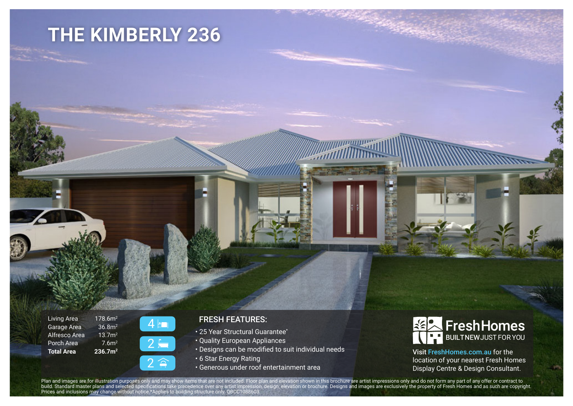## **THE KIMBERLY 236**

Living Area Garage Area Alfresco Area Porch Area **Total Area**



178.6m2 36.8m2 13.7m2 7.6m2 **236.7m2**

## FRESH FEATURES:

- 25 Year Structural Guarantee\*
- Quality European Appliances
- Designs can be modified to suit individual needs
- 6 Star Energy Rating
- Generous under roof entertainment area



Visit FreshHomes.com.au for the location of your nearest Fresh Homes Display Centre & Design Consultant.

Plan and images are for illustration purposes only and may show items that are not included. Floor plan and elevation shown in this brochure are artist impressions only and do not form any part of any offer or contract to build. Standard master plans and selected specifications take precedence over any artist impression, design, elevation or brochure. Designs and images are exclusively the property of Fresh Homes and as such are copyright. Prices and inclusions may change without notice.\*Applies to building structure only. QBCC1088603.